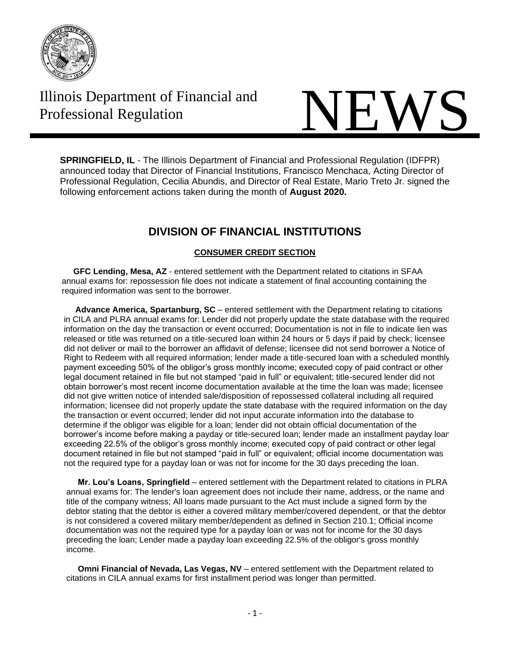

# Illinois Department of Financial and



**SPRINGFIELD, IL** - The Illinois Department of Financial and Professional Regulation (IDFPR) announced today that Director of Financial Institutions, Francisco Menchaca, Acting Director of Professional Regulation, Cecilia Abundis, and Director of Real Estate, Mario Treto Jr. signed the following enforcement actions taken during the month of **August 2020.**

## **DIVISION OF FINANCIAL INSTITUTIONS**

### **CONSUMER CREDIT SECTION**

 **GFC Lending, Mesa, AZ** - entered settlement with the Department related to citations in SFAA annual exams for: repossession file does not indicate a statement of final accounting containing the required information was sent to the borrower.

**Advance America, Spartanburg, SC** – entered settlement with the Department relating to citations in CILA and PLRA annual exams for: Lender did not properly update the state database with the required information on the day the transaction or event occurred; Documentation is not in file to indicate lien was released or title was returned on a title-secured loan within 24 hours or 5 days if paid by check; licensee did not deliver or mail to the borrower an affidavit of defense; licensee did not send borrower a Notice of Right to Redeem with all required information; lender made a title-secured loan with a scheduled monthly payment exceeding 50% of the obligor's gross monthly income; executed copy of paid contract or other legal document retained in file but not stamped "paid in full" or equivalent; title-secured lender did not obtain borrower's most recent income documentation available at the time the loan was made; licensee did not give written notice of intended sale/disposition of repossessed collateral including all required information; licensee did not properly update the state database with the required information on the day the transaction or event occurred; lender did not input accurate information into the database to determine if the obligor was eligible for a loan; lender did not obtain official documentation of the borrower's income before making a payday or title-secured loan; lender made an installment payday loan exceeding 22.5% of the obligor's gross monthly income; executed copy of paid contract or other legal document retained in file but not stamped "paid in full" or equivalent; official income documentation was not the required type for a payday loan or was not for income for the 30 days preceding the loan.

 **Mr. Lou's Loans, Springfield** – entered settlement with the Department related to citations in PLRA annual exams for: The lender's loan agreement does not include their name, address, or the name and title of the company witness; All loans made pursuant to the Act must include a signed form by the debtor stating that the debtor is either a covered military member/covered dependent, or that the debtor is not considered a covered military member/dependent as defined in Section 210.1; Official income documentation was not the required type for a payday loan or was not for income for the 30 days preceding the loan; Lender made a payday loan exceeding 22.5% of the obligor's gross monthly income.

 **Omni Financial of Nevada, Las Vegas, NV** – entered settlement with the Department related to citations in CILA annual exams for first installment period was longer than permitted.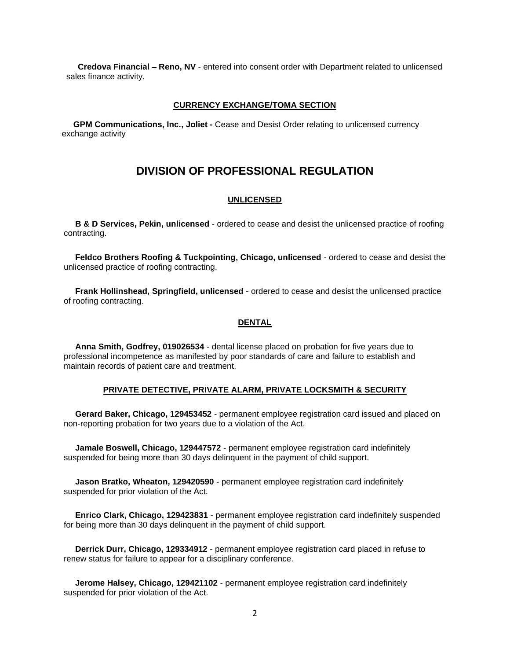**Credova Financial – Reno, NV** - entered into consent order with Department related to unlicensed sales finance activity.

#### **CURRENCY EXCHANGE/TOMA SECTION**

 **GPM Communications, Inc., Joliet -** Cease and Desist Order relating to unlicensed currency exchange activity

## **DIVISION OF PROFESSIONAL REGULATION**

#### **UNLICENSED**

 **B & D Services, Pekin, unlicensed** - ordered to cease and desist the unlicensed practice of roofing contracting.

 **Feldco Brothers Roofing & Tuckpointing, Chicago, unlicensed** - ordered to cease and desist the unlicensed practice of roofing contracting.

 **Frank Hollinshead, Springfield, unlicensed** - ordered to cease and desist the unlicensed practice of roofing contracting.

#### **DENTAL**

 **Anna Smith, Godfrey, 019026534** - dental license placed on probation for five years due to professional incompetence as manifested by poor standards of care and failure to establish and maintain records of patient care and treatment.

#### **PRIVATE DETECTIVE, PRIVATE ALARM, PRIVATE LOCKSMITH & SECURITY**

 **Gerard Baker, Chicago, 129453452** - permanent employee registration card issued and placed on non-reporting probation for two years due to a violation of the Act.

 **Jamale Boswell, Chicago, 129447572** - permanent employee registration card indefinitely suspended for being more than 30 days delinquent in the payment of child support.

 **Jason Bratko, Wheaton, 129420590** - permanent employee registration card indefinitely suspended for prior violation of the Act.

 **Enrico Clark, Chicago, 129423831** - permanent employee registration card indefinitely suspended for being more than 30 days delinquent in the payment of child support.

 **Derrick Durr, Chicago, 129334912** - permanent employee registration card placed in refuse to renew status for failure to appear for a disciplinary conference.

**Jerome Halsey, Chicago, 129421102** - permanent employee registration card indefinitely suspended for prior violation of the Act.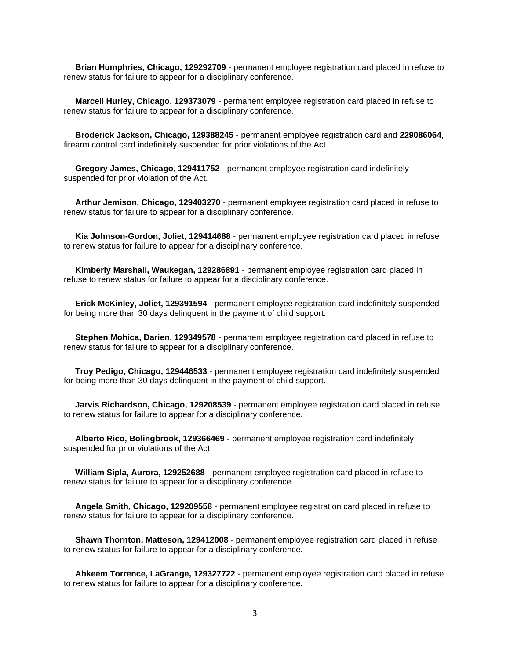**Brian Humphries, Chicago, 129292709** - permanent employee registration card placed in refuse to renew status for failure to appear for a disciplinary conference.

 **Marcell Hurley, Chicago, 129373079** - permanent employee registration card placed in refuse to renew status for failure to appear for a disciplinary conference.

 **Broderick Jackson, Chicago, 129388245** - permanent employee registration card and **229086064**, firearm control card indefinitely suspended for prior violations of the Act.

 **Gregory James, Chicago, 129411752** - permanent employee registration card indefinitely suspended for prior violation of the Act.

 **Arthur Jemison, Chicago, 129403270** - permanent employee registration card placed in refuse to renew status for failure to appear for a disciplinary conference.

 **Kia Johnson-Gordon, Joliet, 129414688** - permanent employee registration card placed in refuse to renew status for failure to appear for a disciplinary conference.

 **Kimberly Marshall, Waukegan, 129286891** - permanent employee registration card placed in refuse to renew status for failure to appear for a disciplinary conference.

 **Erick McKinley, Joliet, 129391594** - permanent employee registration card indefinitely suspended for being more than 30 days delinquent in the payment of child support.

 **Stephen Mohica, Darien, 129349578** - permanent employee registration card placed in refuse to renew status for failure to appear for a disciplinary conference.

 **Troy Pedigo, Chicago, 129446533** - permanent employee registration card indefinitely suspended for being more than 30 days delinquent in the payment of child support.

 **Jarvis Richardson, Chicago, 129208539** - permanent employee registration card placed in refuse to renew status for failure to appear for a disciplinary conference.

 **Alberto Rico, Bolingbrook, 129366469** - permanent employee registration card indefinitely suspended for prior violations of the Act.

 **William Sipla, Aurora, 129252688** - permanent employee registration card placed in refuse to renew status for failure to appear for a disciplinary conference.

 **Angela Smith, Chicago, 129209558** - permanent employee registration card placed in refuse to renew status for failure to appear for a disciplinary conference.

 **Shawn Thornton, Matteson, 129412008** - permanent employee registration card placed in refuse to renew status for failure to appear for a disciplinary conference.

 **Ahkeem Torrence, LaGrange, 129327722** - permanent employee registration card placed in refuse to renew status for failure to appear for a disciplinary conference.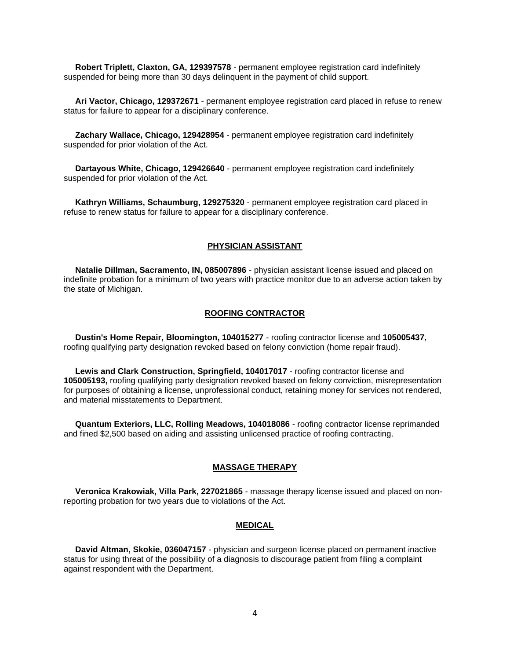**Robert Triplett, Claxton, GA, 129397578** - permanent employee registration card indefinitely suspended for being more than 30 days delinquent in the payment of child support.

 **Ari Vactor, Chicago, 129372671** - permanent employee registration card placed in refuse to renew status for failure to appear for a disciplinary conference.

 **Zachary Wallace, Chicago, 129428954** - permanent employee registration card indefinitely suspended for prior violation of the Act.

 **Dartayous White, Chicago, 129426640** - permanent employee registration card indefinitely suspended for prior violation of the Act.

 **Kathryn Williams, Schaumburg, 129275320** - permanent employee registration card placed in refuse to renew status for failure to appear for a disciplinary conference.

#### **PHYSICIAN ASSISTANT**

 **Natalie Dillman, Sacramento, IN, 085007896** - physician assistant license issued and placed on indefinite probation for a minimum of two years with practice monitor due to an adverse action taken by the state of Michigan.

#### **ROOFING CONTRACTOR**

 **Dustin's Home Repair, Bloomington, 104015277** - roofing contractor license and **105005437**, roofing qualifying party designation revoked based on felony conviction (home repair fraud).

 **Lewis and Clark Construction, Springfield, 104017017** - roofing contractor license and **105005193,** roofing qualifying party designation revoked based on felony conviction, misrepresentation for purposes of obtaining a license, unprofessional conduct, retaining money for services not rendered, and material misstatements to Department.

 **Quantum Exteriors, LLC, Rolling Meadows, 104018086** - roofing contractor license reprimanded and fined \$2,500 based on aiding and assisting unlicensed practice of roofing contracting.

#### **MASSAGE THERAPY**

 **Veronica Krakowiak, Villa Park, 227021865** - massage therapy license issued and placed on nonreporting probation for two years due to violations of the Act.

#### **MEDICAL**

 **David Altman, Skokie, 036047157** - physician and surgeon license placed on permanent inactive status for using threat of the possibility of a diagnosis to discourage patient from filing a complaint against respondent with the Department.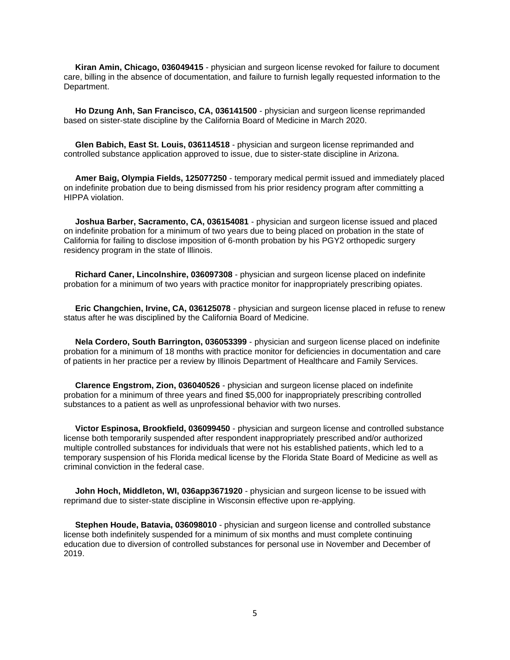**Kiran Amin, Chicago, 036049415** - physician and surgeon license revoked for failure to document care, billing in the absence of documentation, and failure to furnish legally requested information to the Department.

 **Ho Dzung Anh, San Francisco, CA, 036141500** - physician and surgeon license reprimanded based on sister-state discipline by the California Board of Medicine in March 2020.

 **Glen Babich, East St. Louis, 036114518** - physician and surgeon license reprimanded and controlled substance application approved to issue, due to sister-state discipline in Arizona.

 **Amer Baig, Olympia Fields, 125077250** - temporary medical permit issued and immediately placed on indefinite probation due to being dismissed from his prior residency program after committing a HIPPA violation.

 **Joshua Barber, Sacramento, CA, 036154081** - physician and surgeon license issued and placed on indefinite probation for a minimum of two years due to being placed on probation in the state of California for failing to disclose imposition of 6-month probation by his PGY2 orthopedic surgery residency program in the state of Illinois.

 **Richard Caner, Lincolnshire, 036097308** - physician and surgeon license placed on indefinite probation for a minimum of two years with practice monitor for inappropriately prescribing opiates.

 **Eric Changchien, Irvine, CA, 036125078** - physician and surgeon license placed in refuse to renew status after he was disciplined by the California Board of Medicine.

 **Nela Cordero, South Barrington, 036053399** - physician and surgeon license placed on indefinite probation for a minimum of 18 months with practice monitor for deficiencies in documentation and care of patients in her practice per a review by Illinois Department of Healthcare and Family Services.

 **Clarence Engstrom, Zion, 036040526** - physician and surgeon license placed on indefinite probation for a minimum of three years and fined \$5,000 for inappropriately prescribing controlled substances to a patient as well as unprofessional behavior with two nurses.

 **Victor Espinosa, Brookfield, 036099450** - physician and surgeon license and controlled substance license both temporarily suspended after respondent inappropriately prescribed and/or authorized multiple controlled substances for individuals that were not his established patients, which led to a temporary suspension of his Florida medical license by the Florida State Board of Medicine as well as criminal conviction in the federal case.

 **John Hoch, Middleton, WI, 036app3671920** - physician and surgeon license to be issued with reprimand due to sister-state discipline in Wisconsin effective upon re-applying.

 **Stephen Houde, Batavia, 036098010** - physician and surgeon license and controlled substance license both indefinitely suspended for a minimum of six months and must complete continuing education due to diversion of controlled substances for personal use in November and December of 2019.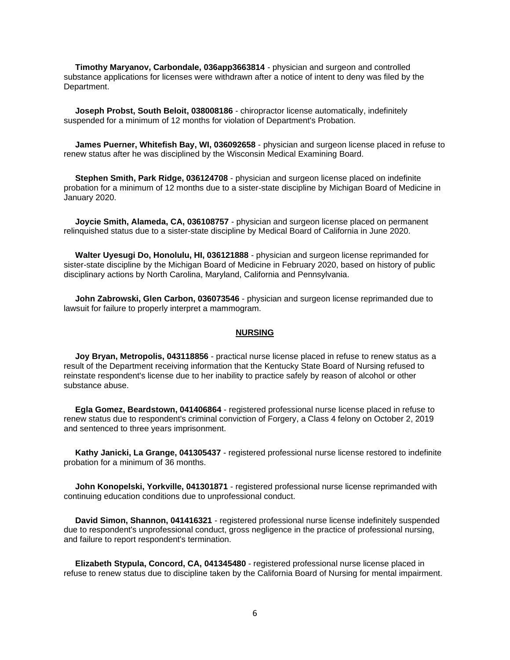**Timothy Maryanov, Carbondale, 036app3663814** - physician and surgeon and controlled substance applications for licenses were withdrawn after a notice of intent to deny was filed by the Department.

 **Joseph Probst, South Beloit, 038008186** - chiropractor license automatically, indefinitely suspended for a minimum of 12 months for violation of Department's Probation.

 **James Puerner, Whitefish Bay, WI, 036092658** - physician and surgeon license placed in refuse to renew status after he was disciplined by the Wisconsin Medical Examining Board.

 **Stephen Smith, Park Ridge, 036124708** - physician and surgeon license placed on indefinite probation for a minimum of 12 months due to a sister-state discipline by Michigan Board of Medicine in January 2020.

 **Joycie Smith, Alameda, CA, 036108757** - physician and surgeon license placed on permanent relinquished status due to a sister-state discipline by Medical Board of California in June 2020.

 **Walter Uyesugi Do, Honolulu, HI, 036121888** - physician and surgeon license reprimanded for sister-state discipline by the Michigan Board of Medicine in February 2020, based on history of public disciplinary actions by North Carolina, Maryland, California and Pennsylvania.

 **John Zabrowski, Glen Carbon, 036073546** - physician and surgeon license reprimanded due to lawsuit for failure to properly interpret a mammogram.

#### **NURSING**

 **Joy Bryan, Metropolis, 043118856** - practical nurse license placed in refuse to renew status as a result of the Department receiving information that the Kentucky State Board of Nursing refused to reinstate respondent's license due to her inability to practice safely by reason of alcohol or other substance abuse.

 **Egla Gomez, Beardstown, 041406864** - registered professional nurse license placed in refuse to renew status due to respondent's criminal conviction of Forgery, a Class 4 felony on October 2, 2019 and sentenced to three years imprisonment.

 **Kathy Janicki, La Grange, 041305437** - registered professional nurse license restored to indefinite probation for a minimum of 36 months.

 **John Konopelski, Yorkville, 041301871** - registered professional nurse license reprimanded with continuing education conditions due to unprofessional conduct.

 **David Simon, Shannon, 041416321** - registered professional nurse license indefinitely suspended due to respondent's unprofessional conduct, gross negligence in the practice of professional nursing, and failure to report respondent's termination.

 **Elizabeth Stypula, Concord, CA, 041345480** - registered professional nurse license placed in refuse to renew status due to discipline taken by the California Board of Nursing for mental impairment.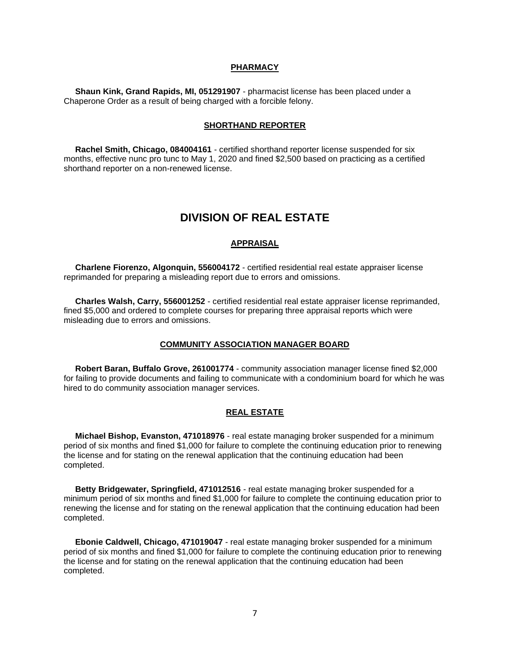#### **PHARMACY**

 **Shaun Kink, Grand Rapids, MI, 051291907** - pharmacist license has been placed under a Chaperone Order as a result of being charged with a forcible felony.

#### **SHORTHAND REPORTER**

 **Rachel Smith, Chicago, 084004161** - certified shorthand reporter license suspended for six months, effective nunc pro tunc to May 1, 2020 and fined \$2,500 based on practicing as a certified shorthand reporter on a non-renewed license.

## **DIVISION OF REAL ESTATE**

#### **APPRAISAL**

 **Charlene Fiorenzo, Algonquin, 556004172** - certified residential real estate appraiser license reprimanded for preparing a misleading report due to errors and omissions.

 **Charles Walsh, Carry, 556001252** - certified residential real estate appraiser license reprimanded, fined \$5,000 and ordered to complete courses for preparing three appraisal reports which were misleading due to errors and omissions.

#### **COMMUNITY ASSOCIATION MANAGER BOARD**

 **Robert Baran, Buffalo Grove, 261001774** - community association manager license fined \$2,000 for failing to provide documents and failing to communicate with a condominium board for which he was hired to do community association manager services.

#### **REAL ESTATE**

 **Michael Bishop, Evanston, 471018976** - real estate managing broker suspended for a minimum period of six months and fined \$1,000 for failure to complete the continuing education prior to renewing the license and for stating on the renewal application that the continuing education had been completed.

 **Betty Bridgewater, Springfield, 471012516** - real estate managing broker suspended for a minimum period of six months and fined \$1,000 for failure to complete the continuing education prior to renewing the license and for stating on the renewal application that the continuing education had been completed.

 **Ebonie Caldwell, Chicago, 471019047** - real estate managing broker suspended for a minimum period of six months and fined \$1,000 for failure to complete the continuing education prior to renewing the license and for stating on the renewal application that the continuing education had been completed.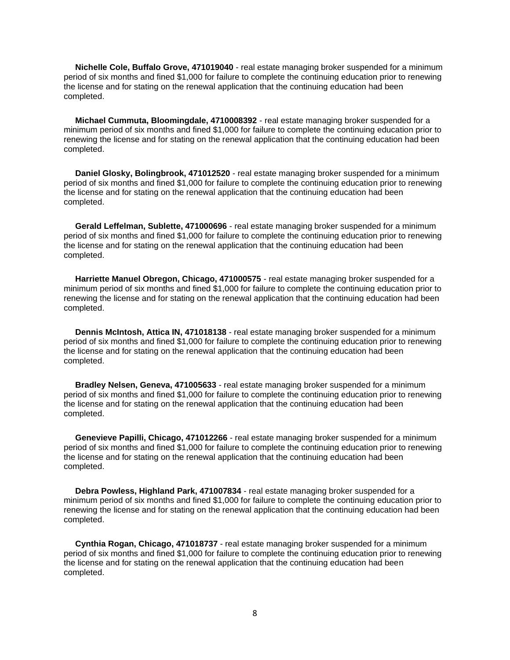**Nichelle Cole, Buffalo Grove, 471019040** - real estate managing broker suspended for a minimum period of six months and fined \$1,000 for failure to complete the continuing education prior to renewing the license and for stating on the renewal application that the continuing education had been completed.

 **Michael Cummuta, Bloomingdale, 4710008392** - real estate managing broker suspended for a minimum period of six months and fined \$1,000 for failure to complete the continuing education prior to renewing the license and for stating on the renewal application that the continuing education had been completed.

 **Daniel Glosky, Bolingbrook, 471012520** - real estate managing broker suspended for a minimum period of six months and fined \$1,000 for failure to complete the continuing education prior to renewing the license and for stating on the renewal application that the continuing education had been completed.

 **Gerald Leffelman, Sublette, 471000696** - real estate managing broker suspended for a minimum period of six months and fined \$1,000 for failure to complete the continuing education prior to renewing the license and for stating on the renewal application that the continuing education had been completed.

 **Harriette Manuel Obregon, Chicago, 471000575** - real estate managing broker suspended for a minimum period of six months and fined \$1,000 for failure to complete the continuing education prior to renewing the license and for stating on the renewal application that the continuing education had been completed.

 **Dennis McIntosh, Attica IN, 471018138** - real estate managing broker suspended for a minimum period of six months and fined \$1,000 for failure to complete the continuing education prior to renewing the license and for stating on the renewal application that the continuing education had been completed.

 **Bradley Nelsen, Geneva, 471005633** - real estate managing broker suspended for a minimum period of six months and fined \$1,000 for failure to complete the continuing education prior to renewing the license and for stating on the renewal application that the continuing education had been completed.

 **Genevieve Papilli, Chicago, 471012266** - real estate managing broker suspended for a minimum period of six months and fined \$1,000 for failure to complete the continuing education prior to renewing the license and for stating on the renewal application that the continuing education had been completed.

 **Debra Powless, Highland Park, 471007834** - real estate managing broker suspended for a minimum period of six months and fined \$1,000 for failure to complete the continuing education prior to renewing the license and for stating on the renewal application that the continuing education had been completed.

 **Cynthia Rogan, Chicago, 471018737** - real estate managing broker suspended for a minimum period of six months and fined \$1,000 for failure to complete the continuing education prior to renewing the license and for stating on the renewal application that the continuing education had been completed.